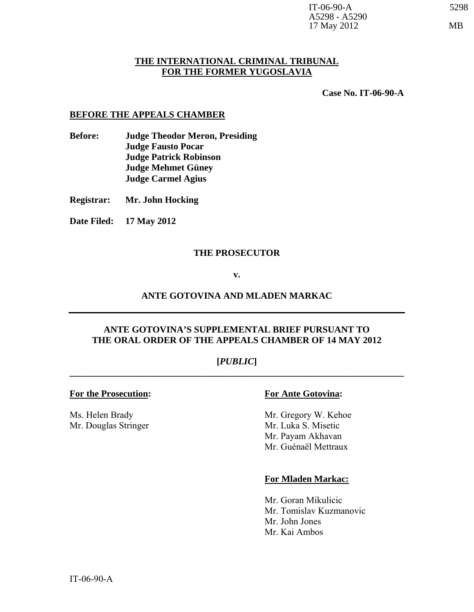### **THE INTERNATIONAL CRIMINAL TRIBUNAL FOR THE FORMER YUGOSLAVIA**

**Case No. IT-06-90-A** 

#### **BEFORE THE APPEALS CHAMBER**

- **Before: Judge Theodor Meron, Presiding Judge Fausto Pocar Judge Patrick Robinson Judge Mehmet Güney Judge Carmel Agius**
- **Registrar: Mr. John Hocking**
- **Date Filed: 17 May 2012**

#### **THE PROSECUTOR**

#### **v.**

#### **ANTE GOTOVINA AND MLADEN MARKAC**

# **ANTE GOTOVINA'S SUPPLEMENTAL BRIEF PURSUANT TO THE ORAL ORDER OF THE APPEALS CHAMBER OF 14 MAY 2012**

# **[***PUBLIC***] \_\_\_\_\_\_\_\_\_\_\_\_\_\_\_\_\_\_\_\_\_\_\_\_\_\_\_\_\_\_\_\_\_\_\_\_\_\_\_\_\_\_\_\_\_\_\_\_\_\_\_\_\_\_\_\_\_\_\_\_\_\_\_\_\_\_\_\_\_\_\_\_**

#### **For the Prosecution: For Ante Gotovina:**

Mr. Douglas Stringer Mr. Luka S. Misetic

Ms. Helen Brady Mr. Gregory W. Kehoe Mr. Payam Akhavan Mr. Guénaël Mettraux

#### **For Mladen Markac:**

Mr. Goran Mikulicic Mr. Tomislav Kuzmanovic Mr. John Jones Mr. Kai Ambos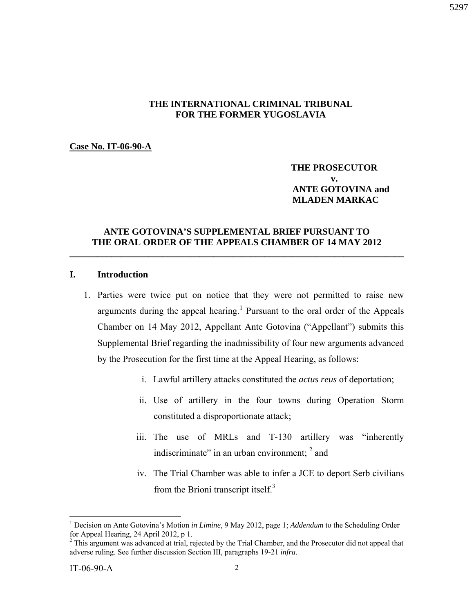# **THE INTERNATIONAL CRIMINAL TRIBUNAL FOR THE FORMER YUGOSLAVIA**

#### **Case No. IT-06-90-A**

### **THE PROSECUTOR v. ANTE GOTOVINA and MLADEN MARKAC**

# **ANTE GOTOVINA'S SUPPLEMENTAL BRIEF PURSUANT TO THE ORAL ORDER OF THE APPEALS CHAMBER OF 14 MAY 2012**

**\_\_\_\_\_\_\_\_\_\_\_\_\_\_\_\_\_\_\_\_\_\_\_\_\_\_\_\_\_\_\_\_\_\_\_\_\_\_\_\_\_\_\_\_\_\_\_\_\_\_\_\_\_\_\_\_\_\_\_\_\_\_\_\_\_\_\_\_\_\_\_\_** 

### **I. Introduction**

- 1. Parties were twice put on notice that they were not permitted to raise new arguments during the appeal hearing.<sup>1</sup> Pursuant to the oral order of the Appeals Chamber on 14 May 2012, Appellant Ante Gotovina ("Appellant") submits this Supplemental Brief regarding the inadmissibility of four new arguments advanced by the Prosecution for the first time at the Appeal Hearing, as follows:
	- i. Lawful artillery attacks constituted the *actus reus* of deportation;
	- ii. Use of artillery in the four towns during Operation Storm constituted a disproportionate attack;
	- iii. The use of MRLs and T-130 artillery was "inherently indiscriminate" in an urban environment;  $2$  and
	- iv. The Trial Chamber was able to infer a JCE to deport Serb civilians from the Brioni transcript itself. $3$

<u>.</u>

<sup>&</sup>lt;sup>1</sup> Decision on Ante Gotovina's Motion *in Limine*, 9 May 2012, page 1; *Addendum* to the Scheduling Order for Appeal Hearing, 24 April 2012, p 1.

<sup>&</sup>lt;sup>2</sup> This argument was advanced at trial, rejected by the Trial Chamber, and the Prosecutor did not appeal that adverse ruling. See further discussion Section III, paragraphs 19-21 *infra*.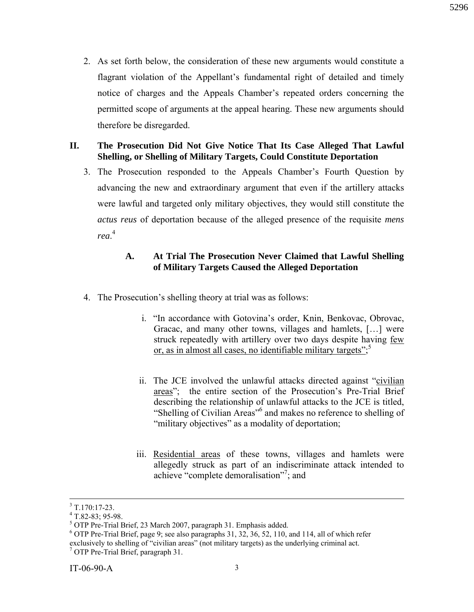2. As set forth below, the consideration of these new arguments would constitute a flagrant violation of the Appellant's fundamental right of detailed and timely notice of charges and the Appeals Chamber's repeated orders concerning the permitted scope of arguments at the appeal hearing. These new arguments should therefore be disregarded.

# **II. The Prosecution Did Not Give Notice That Its Case Alleged That Lawful Shelling, or Shelling of Military Targets, Could Constitute Deportation**

3. The Prosecution responded to the Appeals Chamber's Fourth Question by advancing the new and extraordinary argument that even if the artillery attacks were lawful and targeted only military objectives, they would still constitute the *actus reus* of deportation because of the alleged presence of the requisite *mens rea*. 4

# **A. At Trial The Prosecution Never Claimed that Lawful Shelling of Military Targets Caused the Alleged Deportation**

- 4. The Prosecution's shelling theory at trial was as follows:
	- i. "In accordance with Gotovina's order, Knin, Benkovac, Obrovac, Gracac, and many other towns, villages and hamlets, […] were struck repeatedly with artillery over two days despite having few or, as in almost all cases, no identifiable military targets";
	- ii. The JCE involved the unlawful attacks directed against "civilian areas"; the entire section of the Prosecution's Pre-Trial Brief describing the relationship of unlawful attacks to the JCE is titled, "Shelling of Civilian Areas"<sup>6</sup> and makes no reference to shelling of "military objectives" as a modality of deportation;
	- iii. Residential areas of these towns, villages and hamlets were allegedly struck as part of an indiscriminate attack intended to achieve "complete demoralisation"7 ; and

 <sup>3</sup>  $3$  T.170:17-23.

 $4$  T.82-83; 95-98.

 $<sup>5</sup>$  OTP Pre-Trial Brief, 23 March 2007, paragraph 31. Emphasis added.</sup>

<sup>6</sup> OTP Pre-Trial Brief, page 9; see also paragraphs 31, 32, 36, 52, 110, and 114, all of which refer exclusively to shelling of "civilian areas" (not military targets) as the underlying criminal act.<br><sup>7</sup> OTP Pre-Trial Brief, paragraph 31.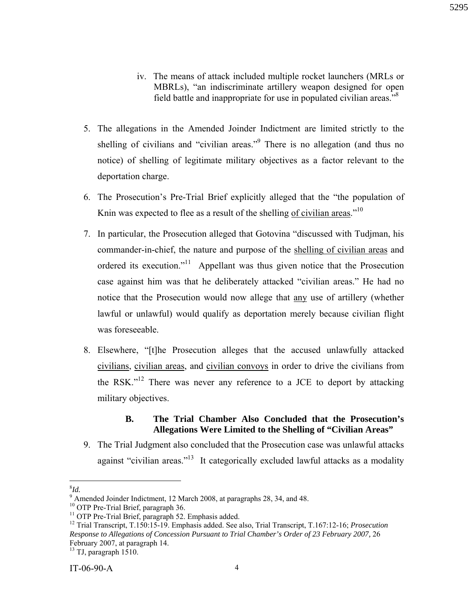- iv. The means of attack included multiple rocket launchers (MRLs or MBRLs), "an indiscriminate artillery weapon designed for open field battle and inappropriate for use in populated civilian areas."8
- 5. The allegations in the Amended Joinder Indictment are limited strictly to the shelling of civilians and "civilian areas."<sup>9</sup> There is no allegation (and thus no notice) of shelling of legitimate military objectives as a factor relevant to the deportation charge.
- 6. The Prosecution's Pre-Trial Brief explicitly alleged that the "the population of Knin was expected to flee as a result of the shelling of civilian areas."<sup>10</sup>
- 7. In particular, the Prosecution alleged that Gotovina "discussed with Tudjman, his commander-in-chief, the nature and purpose of the shelling of civilian areas and ordered its execution."<sup>11</sup> Appellant was thus given notice that the Prosecution case against him was that he deliberately attacked "civilian areas." He had no notice that the Prosecution would now allege that any use of artillery (whether lawful or unlawful) would qualify as deportation merely because civilian flight was foreseeable.
- 8. Elsewhere, "[t]he Prosecution alleges that the accused unlawfully attacked civilians, civilian areas, and civilian convoys in order to drive the civilians from the RSK."<sup>12</sup> There was never any reference to a JCE to deport by attacking military objectives.

# **B. The Trial Chamber Also Concluded that the Prosecution's Allegations Were Limited to the Shelling of "Civilian Areas"**

9. The Trial Judgment also concluded that the Prosecution case was unlawful attacks against "civilian areas."<sup>13</sup> It categorically excluded lawful attacks as a modality

<sup>&</sup>lt;sup>8</sup><br><sup>9</sup> Amended Joinder Indictment, 12 March 2008, at paragraphs 28, 34, and 48.

<sup>&</sup>lt;sup>10</sup> OTP Pre-Trial Brief, paragraph 36.<br><sup>11</sup> OTP Pre-Trial Brief, paragraph 52. Emphasis added.

<sup>12</sup> Trial Transcript, T.150:15-19. Emphasis added. See also, Trial Transcript, T.167:12-16; *Prosecution Response to Allegations of Concession Pursuant to Trial Chamber's Order of 23 February 2007,* 26 February 2007, at paragraph 14.

 $13$  TJ, paragraph 1510.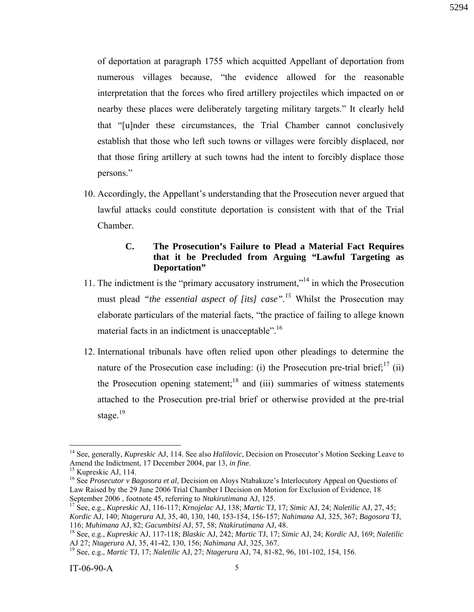of deportation at paragraph 1755 which acquitted Appellant of deportation from numerous villages because, "the evidence allowed for the reasonable interpretation that the forces who fired artillery projectiles which impacted on or nearby these places were deliberately targeting military targets." It clearly held that "[u]nder these circumstances, the Trial Chamber cannot conclusively establish that those who left such towns or villages were forcibly displaced, nor that those firing artillery at such towns had the intent to forcibly displace those persons."

10. Accordingly, the Appellant's understanding that the Prosecution never argued that lawful attacks could constitute deportation is consistent with that of the Trial Chamber.

# **C. The Prosecution's Failure to Plead a Material Fact Requires that it be Precluded from Arguing "Lawful Targeting as Deportation"**

- 11. The indictment is the "primary accusatory instrument,"14 in which the Prosecution must plead *"the essential aspect of [its] case".*<sup>15</sup> Whilst the Prosecution may elaborate particulars of the material facts, "the practice of failing to allege known material facts in an indictment is unacceptable".<sup>16</sup>
- 12. International tribunals have often relied upon other pleadings to determine the nature of the Prosecution case including: (i) the Prosecution pre-trial brief;  $\frac{17}{11}$  (ii) the Prosecution opening statement;<sup>18</sup> and (iii) summaries of witness statements attached to the Prosecution pre-trial brief or otherwise provided at the pre-trial stage. $19$

<sup>14</sup> See, generally, *Kupreskic* AJ, 114. See also *Halilovic*, Decision on Prosecutor's Motion Seeking Leave to Amend the Indictment, 17 December 2004, par 13, *in fine*. 15 Kupreskic AJ, 114.

<sup>&</sup>lt;sup>16</sup> See *Prosecutor v Bagosora et al*, Decision on Aloys Ntabakuze's Interlocutory Appeal on Questions of Law Raised by the 29 June 2006 Trial Chamber I Decision on Motion for Exclusion of Evidence, 18<br>September 2006, footnote 45, referring to *Ntakirutimana* AJ, 125.

September 2006 , footnote 45, referring to *Ntakirutimana* AJ, 125. 17 See, e.g., *Kupreskic* AJ, 116-117; *Krnojelac* AJ, 138; *Martic* TJ, 17; *Simic* AJ, 24; *Naletilic* AJ, 27, 45;

*Kordic* AJ, 140; *Ntagerura* AJ, 35, 40, 130, 140, 153-154, 156-157; *Nahimana* AJ, 325, 367; *Bagosora* TJ,

<sup>&</sup>lt;sup>18</sup> See, e.g., *Kupreskic AJ*, 117-118; *Blaskic AJ*, 242; *Martic TJ*, 17; *Simic AJ*, 24; *Kordic AJ*, 169; *Naletilic AJ* 27; *Ntagerura AJ*, 35, 41-42, 130, 156; *Nahimana AJ*, 325, 367.

AJ 27; *Ntagerura* AJ, 35, 41-42, 130, 156; *Nahimana* AJ, 325, 367. 19 See, e.g., *Martic* TJ, 17; *Naletilic* AJ, 27; *Ntagerura* AJ, 74, 81-82, 96, 101-102, 154, 156.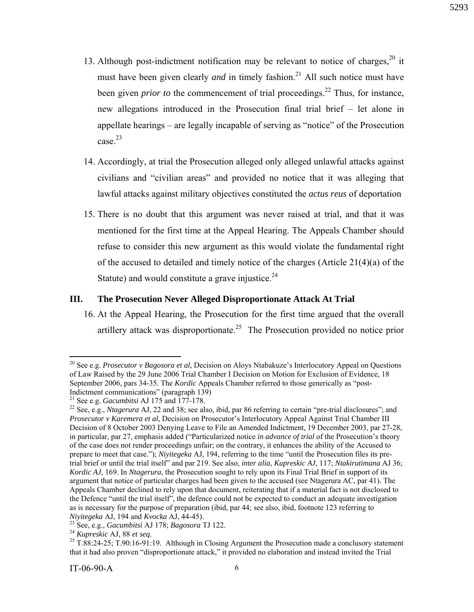- 13. Although post-indictment notification may be relevant to notice of charges, $20$  it must have been given clearly *and* in timely fashion.<sup>21</sup> All such notice must have been given *prior to* the commencement of trial proceedings.<sup>22</sup> Thus, for instance, new allegations introduced in the Prosecution final trial brief – let alone in appellate hearings – are legally incapable of serving as "notice" of the Prosecution case.<sup>23</sup>
- 14. Accordingly, at trial the Prosecution alleged only alleged unlawful attacks against civilians and "civilian areas" and provided no notice that it was alleging that lawful attacks against military objectives constituted the *actus reus* of deportation
- 15. There is no doubt that this argument was never raised at trial, and that it was mentioned for the first time at the Appeal Hearing. The Appeals Chamber should refuse to consider this new argument as this would violate the fundamental right of the accused to detailed and timely notice of the charges (Article 21(4)(a) of the Statute) and would constitute a grave injustice. $24$

# **III. The Prosecution Never Alleged Disproportionate Attack At Trial**

16. At the Appeal Hearing, the Prosecution for the first time argued that the overall artillery attack was disproportionate.<sup>25</sup> The Prosecution provided no notice prior

<sup>20</sup> See e.g. *Prosecutor v Bagosora et al*, Decision on Aloys Ntabakuze's Interlocutory Appeal on Questions of Law Raised by the 29 June 2006 Trial Chamber I Decision on Motion for Exclusion of Evidence, 18 September 2006, pars 34-35. The *Kordic* Appeals Chamber referred to those generically as "post-Indictment communications" (paragraph 139)<br><sup>21</sup> See e.g. *Gacumbitsi* AJ 175 and 177-178.

<sup>&</sup>lt;sup>22</sup> See, e.g., *Ntagerura* AJ, 22 and 38; see also, ibid, par 86 referring to certain "pre-trial disclosures"; and *Prosecutor v Karemera et al*, Decision on Prosecutor's Interlocutory Appeal Against Trial Chamber III Decision of 8 October 2003 Denying Leave to File an Amended Indictment, 19 December 2003, par 27-28, in particular, par 27, emphasis added ("Particularized notice *in advance of trial* of the Prosecution's theory of the case does not render proceedings unfair; on the contrary, it enhances the ability of the Accused to prepare to meet that case."); *Niyitegeka* AJ, 194, referring to the time "until the Prosecution files its pretrial brief or until the trial itself" and par 219. See also, *inter alia*, *Kupreskic AJ,* 117; *Ntakirutimana* AJ 36; *Kordic AJ,* 169. In *Ntagerura*, the Prosecution sought to rely upon its Final Trial Brief in support of its argument that notice of particular charges had been given to the accused (see Ntagerura AC, par 41). The Appeals Chamber declined to rely upon that document, reiterating that if a material fact is not disclosed to the Defence "until the trial itself", the defence could not be expected to conduct an adequate investigation as is necessary for the purpose of preparation (ibid, par 44; see also, ibid, footnote 123 referring to Niyitegeka AJ, 194 and Kvocka AJ, 44-45).<br><sup>23</sup> See, e.g., *Gacumbitsi* AJ 178; *Bagosora* TJ 122.<br><sup>24</sup> Kupreskic AJ, 88 et seq.<br><sup>25</sup> T.88:24-25; T.90:16-91:19. Although in Closing Argument the Prosecution made a conclusor

that it had also proven "disproportionate attack," it provided no elaboration and instead invited the Trial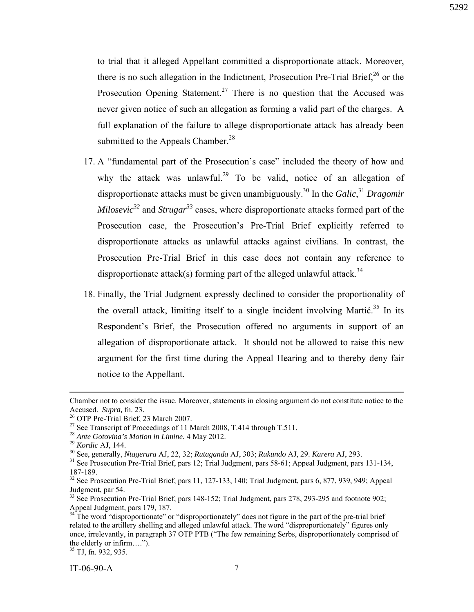to trial that it alleged Appellant committed a disproportionate attack. Moreover, there is no such allegation in the Indictment, Prosecution Pre-Trial Brief.<sup>26</sup> or the Prosecution Opening Statement.<sup>27</sup> There is no question that the Accused was never given notice of such an allegation as forming a valid part of the charges. A full explanation of the failure to allege disproportionate attack has already been submitted to the Appeals Chamber.<sup>28</sup>

- 17. A "fundamental part of the Prosecution's case" included the theory of how and why the attack was unlawful.<sup>29</sup> To be valid, notice of an allegation of disproportionate attacks must be given unambiguously.30 In the *Galic*, <sup>31</sup> *Dragomir Milosevic*<sup>32</sup> and *Strugar*<sup>33</sup> cases, where disproportionate attacks formed part of the Prosecution case, the Prosecution's Pre-Trial Brief explicitly referred to disproportionate attacks as unlawful attacks against civilians. In contrast, the Prosecution Pre-Trial Brief in this case does not contain any reference to disproportionate attack(s) forming part of the alleged unlawful attack.<sup>34</sup>
- 18. Finally, the Trial Judgment expressly declined to consider the proportionality of the overall attack, limiting itself to a single incident involving Martić.<sup>35</sup> In its Respondent's Brief, the Prosecution offered no arguments in support of an allegation of disproportionate attack. It should not be allowed to raise this new argument for the first time during the Appeal Hearing and to thereby deny fair notice to the Appellant.

Chamber not to consider the issue. Moreover, statements in closing argument do not constitute notice to the Accused. *Supra*, fn. 23.<br><sup>26</sup> OTP Pre-Trial Brief, 23 March 2007.

<sup>&</sup>lt;sup>27</sup> See Transcript of Proceedings of 11 March 2008, T.414 through T.511.<br><sup>28</sup> Ante Gotovina's Motion in Limine, 4 May 2012.

<sup>&</sup>lt;sup>29</sup> Kordic AJ, 144.<br><sup>30</sup> See, generally, *Ntagerura* AJ, 22, 32; *Rutaganda* AJ, 303; *Rukundo* AJ, 29. *Karera* AJ, 293.<br><sup>31</sup> See Prosecution Pre-Trial Brief, pars 12; Trial Judgment, pars 58-61; Appeal Judgment, pars 13

<sup>187-189.</sup> 

 $32$  See Prosecution Pre-Trial Brief, pars 11, 127-133, 140; Trial Judgment, pars 6, 877, 939, 949; Appeal Judgment, par 54.

<sup>&</sup>lt;sup>33</sup> See Prosecution Pre-Trial Brief, pars 148-152; Trial Judgment, pars 278, 293-295 and footnote 902; Appeal Judgment, pars 179, 187.

 $34$ <sup>1</sup>The word "disproportionate" or "disproportionately" does not figure in the part of the pre-trial brief related to the artillery shelling and alleged unlawful attack. The word "disproportionately" figures only once, irrelevantly, in paragraph 37 OTP PTB ("The few remaining Serbs, disproportionately comprised of the elderly or infirm….").

 $35$  TJ, fn. 932, 935.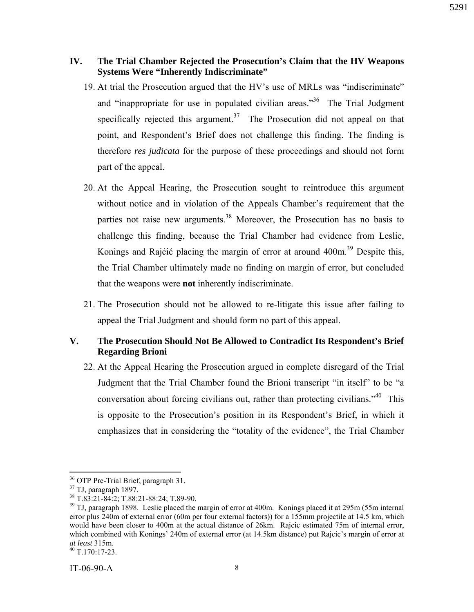# **IV. The Trial Chamber Rejected the Prosecution's Claim that the HV Weapons Systems Were "Inherently Indiscriminate"**

- 19. At trial the Prosecution argued that the HV's use of MRLs was "indiscriminate" and "inappropriate for use in populated civilian areas."<sup>36</sup> The Trial Judgment specifically rejected this argument.<sup>37</sup> The Prosecution did not appeal on that point, and Respondent's Brief does not challenge this finding. The finding is therefore *res judicata* for the purpose of these proceedings and should not form part of the appeal.
- 20. At the Appeal Hearing, the Prosecution sought to reintroduce this argument without notice and in violation of the Appeals Chamber's requirement that the parties not raise new arguments.<sup>38</sup> Moreover, the Prosecution has no basis to challenge this finding, because the Trial Chamber had evidence from Leslie, Konings and Rajćić placing the margin of error at around  $400m^{39}$  Despite this, the Trial Chamber ultimately made no finding on margin of error, but concluded that the weapons were **not** inherently indiscriminate.
- 21. The Prosecution should not be allowed to re-litigate this issue after failing to appeal the Trial Judgment and should form no part of this appeal.

# **V. The Prosecution Should Not Be Allowed to Contradict Its Respondent's Brief Regarding Brioni**

22. At the Appeal Hearing the Prosecution argued in complete disregard of the Trial Judgment that the Trial Chamber found the Brioni transcript "in itself" to be "a conversation about forcing civilians out, rather than protecting civilians."40 This is opposite to the Prosecution's position in its Respondent's Brief, in which it emphasizes that in considering the "totality of the evidence", the Trial Chamber

 $36$  OTP Pre-Trial Brief, paragraph 31.<br> $37$  TJ, paragraph 1897.

<sup>38</sup> T.83:21-84:2; T.88:21-88:24; T.89-90.

<sup>&</sup>lt;sup>39</sup> TJ, paragraph 1898. Leslie placed the margin of error at 400m. Konings placed it at 295m (55m internal error plus 240m of external error (60m per four external factors)) for a 155mm projectile at 14.5 km, which would have been closer to 400m at the actual distance of 26km. Rajcic estimated 75m of internal error, which combined with Konings' 240m of external error (at 14.5km distance) put Rajcic's margin of error at *at least* 315m.<br><sup>40</sup> T.170:17-23.